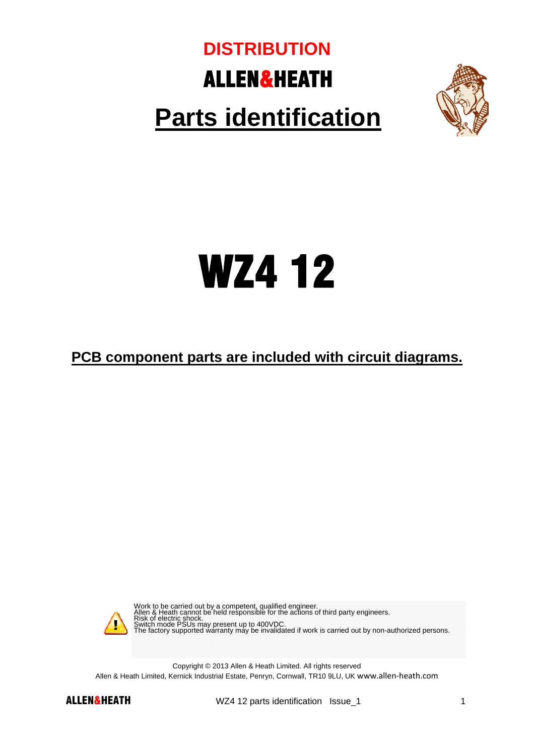## ALLEN&HEATH **Parts identification DISTRIBUTION**



## WZ4 12

**PCB component parts are included with circuit diagrams.** 



Work to be carried out by a competent, qualified engineer.<br>Allen & Heath cannot be held responsible for the actions of third party engineers.<br>Risk of electric shock.<br>Switch mode PSUs may present up to 400VDC.<br>The factory s

Copyright © 2013 Allen & Heath Limited. All rights reserved Allen & Heath Limited, Kernick Industrial Estate, Penryn, Cornwall, TR10 9LU, UK www.allen‐heath.com



ALLEN&HEATH WZ4 12 parts identification Issue\_1